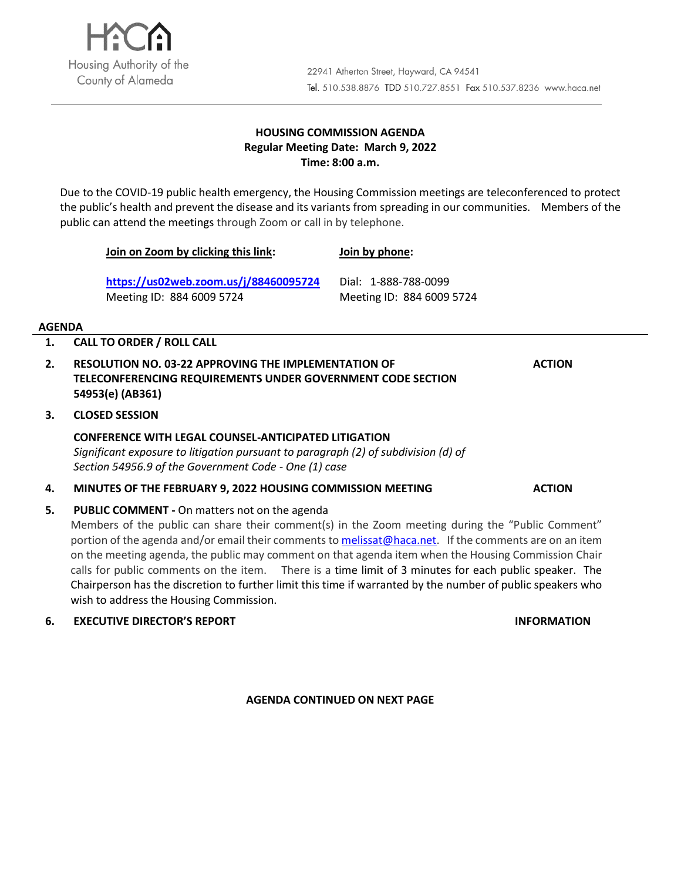

## **HOUSING COMMISSION AGENDA Regular Meeting Date: March 9, 2022 Time: 8:00 a.m.**

Due to the COVID-19 public health emergency, the Housing Commission meetings are teleconferenced to protect the public's health and prevent the disease and its variants from spreading in our communities. Members of the public can attend the meetings through Zoom or call in by telephone.

**Join on Zoom by clicking this link:** 

**<https://us02web.zoom.us/j/88460095724>** Meeting ID: 884 6009 5724

Dial: 1-888-788-0099 Meeting ID: 884 6009 5724

**Join by phone:** 

#### **AGENDA**

- **1. CALL TO ORDER / ROLL CALL**
- **2. RESOLUTION NO. 03-22 APPROVING THE IMPLEMENTATION OF TELECONFERENCING REQUIREMENTS UNDER GOVERNMENT CODE SECTION 54953(e) (AB361)**
- **3. CLOSED SESSION**

## **CONFERENCE WITH LEGAL COUNSEL-ANTICIPATED LITIGATION**

*Significant exposure to litigation pursuant to paragraph (2) of subdivision (d) of Section 54956.9 of the Government Code - One (1) case*

- **4. MINUTES OF THE FEBRUARY 9, 2022 HOUSING COMMISSION MEETING ACTION**
- **5. PUBLIC COMMENT -** On matters not on the agenda

Members of the public can share their comment(s) in the Zoom meeting during the "Public Comment" portion of the agenda and/or email their comments to **melissat@haca.net**. If the comments are on an item on the meeting agenda, the public may comment on that agenda item when the Housing Commission Chair calls for public comments on the item. There is a time limit of 3 minutes for each public speaker. The Chairperson has the discretion to further limit this time if warranted by the number of public speakers who wish to address the Housing Commission.

**6. EXECUTIVE DIRECTOR'S REPORT INFORMATION**

**AGENDA CONTINUED ON NEXT PAGE**

**ACTION**